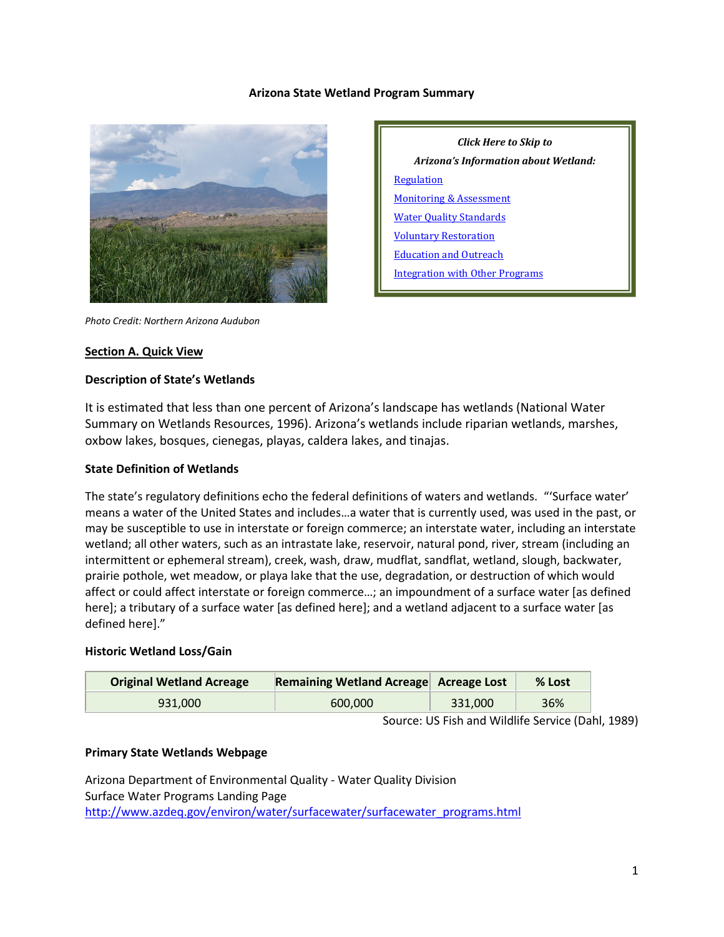#### **Arizona State Wetland Program Summary**

**[Regulation](#page-1-0)** 

[Monitoring & Assessment](#page-4-0) [Water Quality Standards](#page-4-0) [Voluntary Restoration](#page-5-0) [Education and Outreach](#page-6-0)

[Integration with Other Programs](#page-7-0)



*Photo Credit: Northern Arizona Audubon*

#### **Section A. Quick View**

#### **Description of State's Wetlands**

It is estimated that less than one percent of Arizona's landscape has wetlands (National Water Summary on Wetlands Resources, 1996). Arizona's wetlands include riparian wetlands, marshes, oxbow lakes, bosques, cienegas, playas, caldera lakes, and tinajas.

#### **State Definition of Wetlands**

The state's regulatory definitions echo the federal definitions of waters and wetlands. "'Surface water' means a water of the United States and includes…a water that is currently used, was used in the past, or may be susceptible to use in interstate or foreign commerce; an interstate water, including an interstate wetland; all other waters, such as an intrastate lake, reservoir, natural pond, river, stream (including an intermittent or ephemeral stream), creek, wash, draw, mudflat, sandflat, wetland, slough, backwater, prairie pothole, wet meadow, or playa lake that the use, degradation, or destruction of which would affect or could affect interstate or foreign commerce…; an impoundment of a surface water [as defined here]; a tributary of a surface water [as defined here]; and a wetland adjacent to a surface water [as defined here]."

#### **Historic Wetland Loss/Gain**

| <b>Original Wetland Acreage</b> | Remaining Wetland Acreage Acreage Lost |         | $%$ Lost |
|---------------------------------|----------------------------------------|---------|----------|
| 931.000                         | 600,000                                | 331.000 | 36%      |

Source: US Fish and Wildlife Service (Dahl, 1989)

*Click Here to Skip to Arizona's Information about Wetland:*

#### **Primary State Wetlands Webpage**

Arizona Department of Environmental Quality - Water Quality Division Surface Water Programs Landing Page [http://www.azdeq.gov/environ/water/surfacewater/surfacewater\\_programs.html](http://www.azdeq.gov/environ/water/surfacewater/surfacewater_programs.html)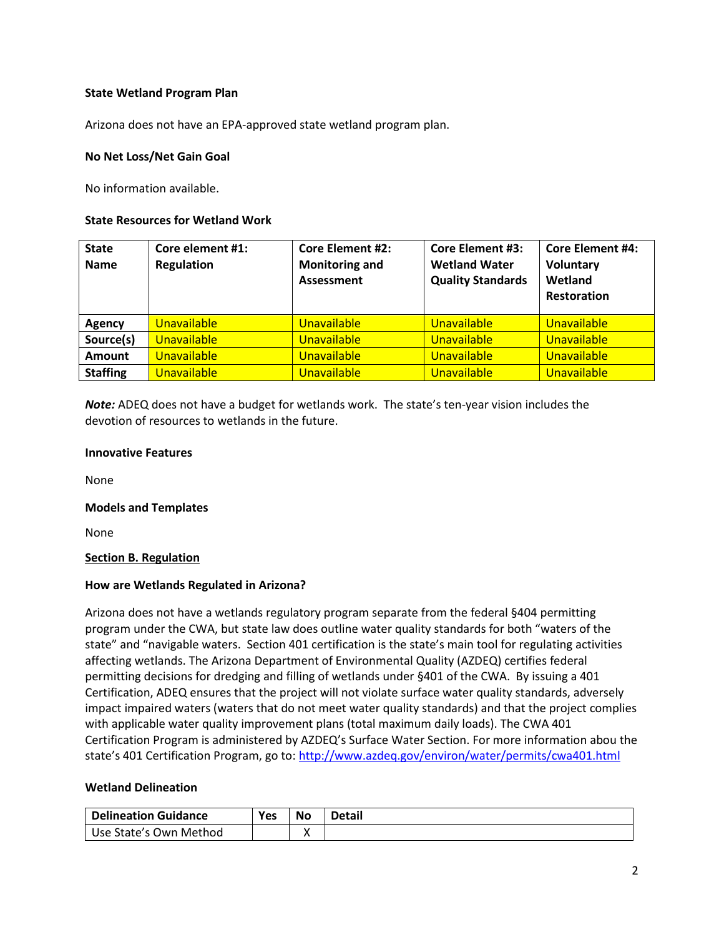### **State Wetland Program Plan**

Arizona does not have an EPA-approved state wetland program plan.

### **No Net Loss/Net Gain Goal**

No information available.

### **State Resources for Wetland Work**

| <b>State</b><br><b>Name</b> | Core element #1:<br><b>Regulation</b> | <b>Core Element #2:</b><br><b>Monitoring and</b><br>Assessment | <b>Core Element #3:</b><br><b>Wetland Water</b><br><b>Quality Standards</b> | <b>Core Element #4:</b><br>Voluntary<br>Wetland<br><b>Restoration</b> |
|-----------------------------|---------------------------------------|----------------------------------------------------------------|-----------------------------------------------------------------------------|-----------------------------------------------------------------------|
| <b>Agency</b>               | <b>Unavailable</b>                    | Unavailable                                                    | <b>Unavailable</b>                                                          | Unavailable                                                           |
| Source(s)                   | Unavailable                           | Unavailable                                                    | Unavailable                                                                 | Unavailable                                                           |
| <b>Amount</b>               | Unavailable                           | Unavailable                                                    | Unavailable                                                                 | Unavailable                                                           |
| <b>Staffing</b>             | Unavailable                           | Unavailable                                                    | Unavailable                                                                 | Unavailable                                                           |

*Note:* ADEQ does not have a budget for wetlands work. The state's ten-year vision includes the devotion of resources to wetlands in the future.

#### **Innovative Features**

None

### **Models and Templates**

None

### <span id="page-1-0"></span>**Section B. Regulation**

### **How are Wetlands Regulated in Arizona?**

Arizona does not have a wetlands regulatory program separate from the federal §404 permitting program under the CWA, but state law does outline water quality standards for both "waters of the state" and "navigable waters. Section 401 certification is the state's main tool for regulating activities affecting wetlands. The Arizona Department of Environmental Quality (AZDEQ) certifies federal permitting decisions for dredging and filling of wetlands under §401 of the CWA. By issuing a 401 Certification, ADEQ ensures that the project will not violate surface water quality standards, adversely impact impaired waters (waters that do not meet water quality standards) and that the project complies with applicable water quality improvement plans (total maximum daily loads). The CWA 401 Certification Program is administered by AZDEQ's Surface Water Section. For more information abou the state's 401 Certification Program, go to[: http://www.azdeq.gov/environ/water/permits/cwa401.html](http://www.azdeq.gov/environ/water/permits/cwa401.html)

#### **Wetland Delineation**

| <b>Delineation Guidance</b> | Yes | <b>No</b> | <b>Detail</b> |
|-----------------------------|-----|-----------|---------------|
| Use State's Own Method      |     |           |               |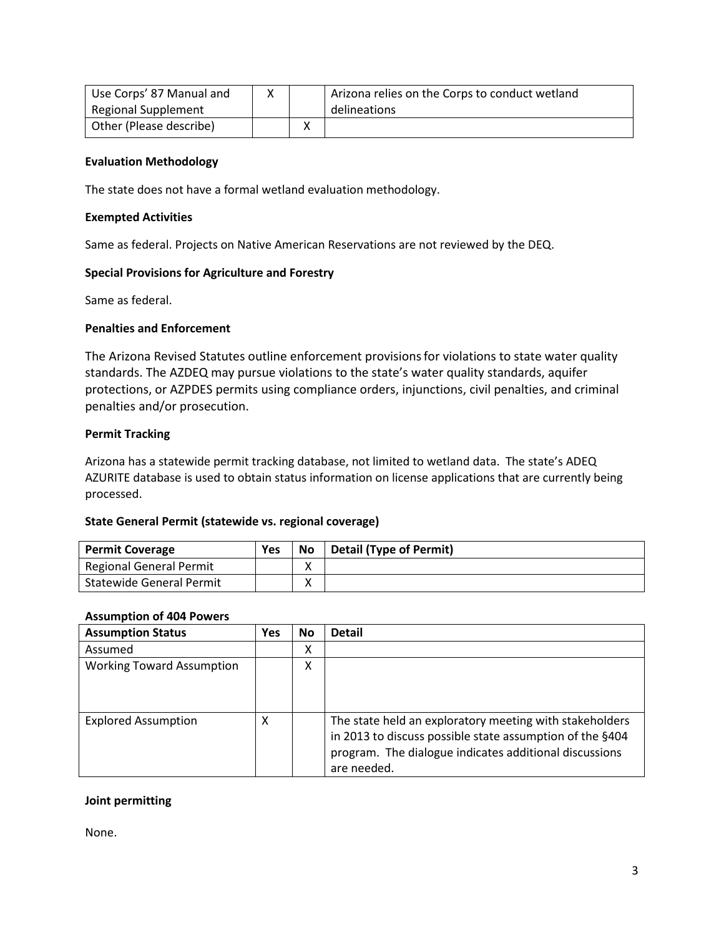| Use Corps' 87 Manual and   |  | Arizona relies on the Corps to conduct wetland |
|----------------------------|--|------------------------------------------------|
| <b>Regional Supplement</b> |  | delineations                                   |
| Other (Please describe)    |  |                                                |

#### **Evaluation Methodology**

The state does not have a formal wetland evaluation methodology.

#### **Exempted Activities**

Same as federal. Projects on Native American Reservations are not reviewed by the DEQ.

### **Special Provisions for Agriculture and Forestry**

Same as federal.

#### **Penalties and Enforcement**

The Arizona Revised Statutes outline enforcement provisionsfor violations to state water quality standards. The AZDEQ may pursue violations to the state's water quality standards, aquifer protections, or AZPDES permits using compliance orders, injunctions, civil penalties, and criminal penalties and/or prosecution.

#### **Permit Tracking**

Arizona has a statewide permit tracking database, not limited to wetland data. The state's ADEQ AZURITE database is used to obtain status information on license applications that are currently being processed.

#### **State General Permit (statewide vs. regional coverage)**

| <b>Permit Coverage</b>          | Yes | <b>No</b> | <b>Detail (Type of Permit)</b> |
|---------------------------------|-----|-----------|--------------------------------|
| <b>Regional General Permit</b>  |     | v<br>Λ    |                                |
| <b>Statewide General Permit</b> |     | v<br>Λ    |                                |

#### **Assumption of 404 Powers**

| <b>Assumption Status</b>         | <b>Yes</b> | <b>No</b> | <b>Detail</b>                                                                                                                                                                                |
|----------------------------------|------------|-----------|----------------------------------------------------------------------------------------------------------------------------------------------------------------------------------------------|
| Assumed                          |            | Χ         |                                                                                                                                                                                              |
| <b>Working Toward Assumption</b> |            | Χ         |                                                                                                                                                                                              |
| <b>Explored Assumption</b>       | x          |           | The state held an exploratory meeting with stakeholders<br>in 2013 to discuss possible state assumption of the §404<br>program. The dialogue indicates additional discussions<br>are needed. |

### **Joint permitting**

None.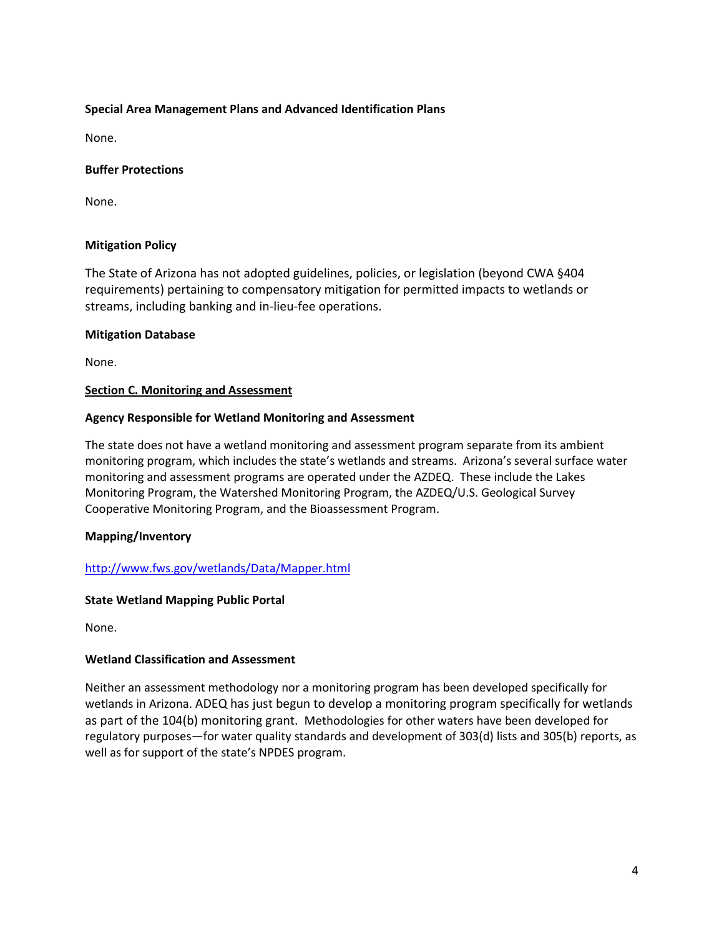### **Special Area Management Plans and Advanced Identification Plans**

None.

### **Buffer Protections**

None.

### **Mitigation Policy**

The State of Arizona has not adopted guidelines, policies, or legislation (beyond CWA §404 requirements) pertaining to compensatory mitigation for permitted impacts to wetlands or streams, including banking and in-lieu-fee operations.

### **Mitigation Database**

None.

### **Section C. Monitoring and Assessment**

### **Agency Responsible for Wetland Monitoring and Assessment**

The state does not have a wetland monitoring and assessment program separate from its ambient monitoring program, which includes the state's wetlands and streams. Arizona's several surface water monitoring and assessment programs are operated under the AZDEQ. These include the Lakes Monitoring Program, the Watershed Monitoring Program, the AZDEQ/U.S. Geological Survey Cooperative Monitoring Program, and the Bioassessment Program.

# **Mapping/Inventory**

# <http://www.fws.gov/wetlands/Data/Mapper.html>

### **State Wetland Mapping Public Portal**

None.

# **Wetland Classification and Assessment**

Neither an assessment methodology nor a monitoring program has been developed specifically for wetlands in Arizona. ADEQ has just begun to develop a monitoring program specifically for wetlands as part of the 104(b) monitoring grant. Methodologies for other waters have been developed for regulatory purposes—for water quality standards and development of 303(d) lists and 305(b) reports, as well as for support of the state's NPDES program.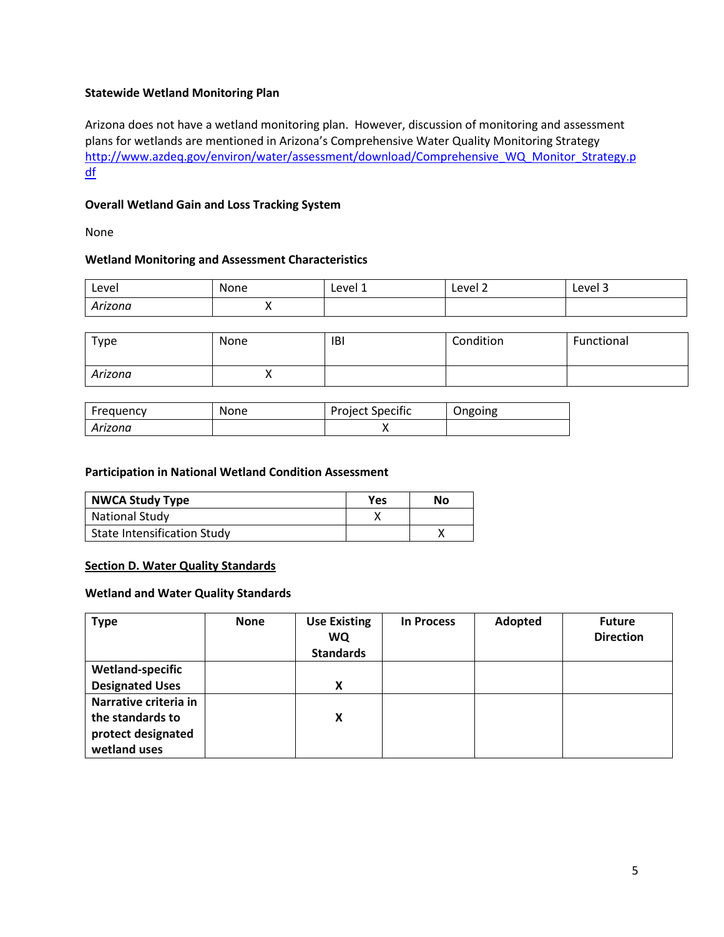### **Statewide Wetland Monitoring Plan**

Arizona does not have a wetland monitoring plan. However, discussion of monitoring and assessment plans for wetlands are mentioned in Arizona's Comprehensive Water Quality Monitoring Strategy [http://www.azdeq.gov/environ/water/assessment/download/Comprehensive\\_WQ\\_Monitor\\_Strategy.p](http://www.azdeq.gov/environ/water/assessment/download/Comprehensive_WQ_Monitor_Strategy.pdf) [df](http://www.azdeq.gov/environ/water/assessment/download/Comprehensive_WQ_Monitor_Strategy.pdf)

### **Overall Wetland Gain and Loss Tracking System**

None

### **Wetland Monitoring and Assessment Characteristics**

| Level   | None | Level 1 | Level 2<br>____ | Level 3 |
|---------|------|---------|-----------------|---------|
| Arizona |      |         |                 |         |

| Type    | None | <b>IBI</b> | Condition | Functional |
|---------|------|------------|-----------|------------|
| Arizona | "    |            |           |            |

| Frequency | None | <b>Project Specific</b> | Ongoing |
|-----------|------|-------------------------|---------|
| Arizona   |      |                         |         |

### **Participation in National Wetland Condition Assessment**

| <b>NWCA Study Type</b>      | <b>Yes</b> | No |
|-----------------------------|------------|----|
| National Study              |            |    |
| State Intensification Study |            |    |

### <span id="page-4-0"></span>**Section D. Water Quality Standards**

### **Wetland and Water Quality Standards**

| <b>Type</b>             | <b>None</b> | <b>Use Existing</b><br><b>WQ</b><br><b>Standards</b> | <b>In Process</b> | Adopted | <b>Future</b><br><b>Direction</b> |
|-------------------------|-------------|------------------------------------------------------|-------------------|---------|-----------------------------------|
| <b>Wetland-specific</b> |             |                                                      |                   |         |                                   |
| <b>Designated Uses</b>  |             | X                                                    |                   |         |                                   |
| Narrative criteria in   |             |                                                      |                   |         |                                   |
| the standards to        |             | x                                                    |                   |         |                                   |
| protect designated      |             |                                                      |                   |         |                                   |
| wetland uses            |             |                                                      |                   |         |                                   |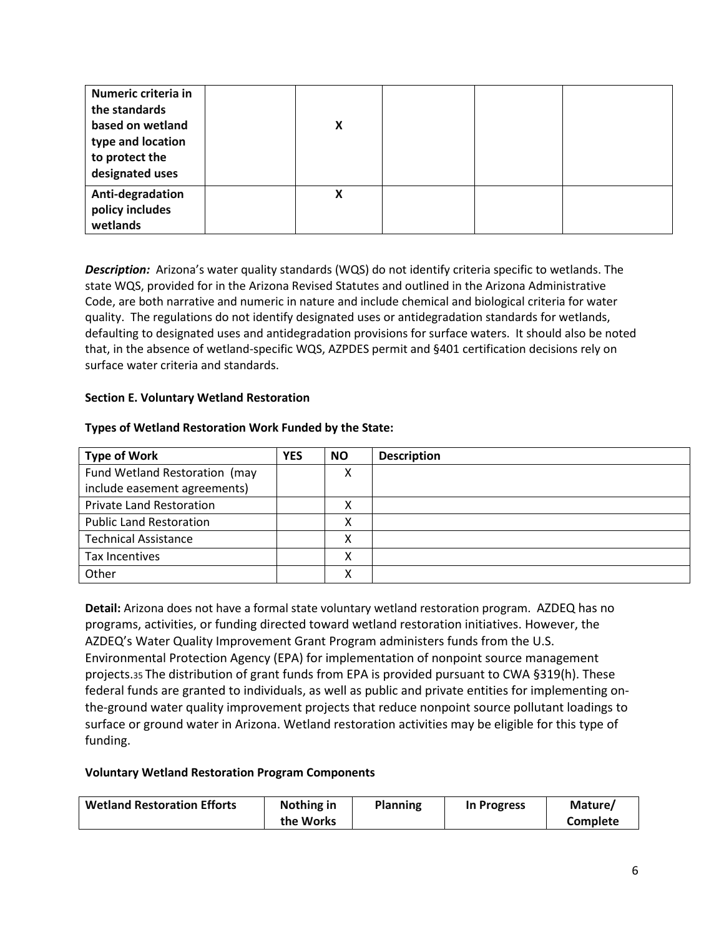| Numeric criteria in<br>the standards<br>based on wetland<br>type and location<br>to protect the<br>designated uses | X |  |  |
|--------------------------------------------------------------------------------------------------------------------|---|--|--|
| Anti-degradation<br>policy includes<br>wetlands                                                                    | X |  |  |

*Description:*Arizona's water quality standards (WQS) do not identify criteria specific to wetlands. The state WQS, provided for in the Arizona Revised Statutes and outlined in the Arizona Administrative Code, are both narrative and numeric in nature and include chemical and biological criteria for water quality. The regulations do not identify designated uses or antidegradation standards for wetlands, defaulting to designated uses and antidegradation provisions for surface waters. It should also be noted that, in the absence of wetland-specific WQS, AZPDES permit and §401 certification decisions rely on surface water criteria and standards.

### <span id="page-5-0"></span>**Section E. Voluntary Wetland Restoration**

#### **Types of Wetland Restoration Work Funded by the State:**

| <b>Type of Work</b>             | <b>YES</b> | <b>NO</b> | <b>Description</b> |
|---------------------------------|------------|-----------|--------------------|
| Fund Wetland Restoration (may   |            | ◠         |                    |
| include easement agreements)    |            |           |                    |
| <b>Private Land Restoration</b> |            | v         |                    |
| <b>Public Land Restoration</b>  |            | v<br>́    |                    |
| <b>Technical Assistance</b>     |            | ◠         |                    |
| Tax Incentives                  |            |           |                    |
| Other                           |            | v         |                    |

**Detail:** Arizona does not have a formal state voluntary wetland restoration program.AZDEQ has no programs, activities, or funding directed toward wetland restoration initiatives. However, the AZDEQ's Water Quality Improvement Grant Program administers funds from the U.S. Environmental Protection Agency (EPA) for implementation of nonpoint source management projects.35 The distribution of grant funds from EPA is provided pursuant to CWA §319(h). These federal funds are granted to individuals, as well as public and private entities for implementing onthe-ground water quality improvement projects that reduce nonpoint source pollutant loadings to surface or ground water in Arizona. Wetland restoration activities may be eligible for this type of funding.

#### **Voluntary Wetland Restoration Program Components**

| <b>Wetland Restoration Efforts</b> | Nothing in | <b>Planning</b> | In Progress | Mature/         |
|------------------------------------|------------|-----------------|-------------|-----------------|
|                                    | the Works  |                 |             | <b>Complete</b> |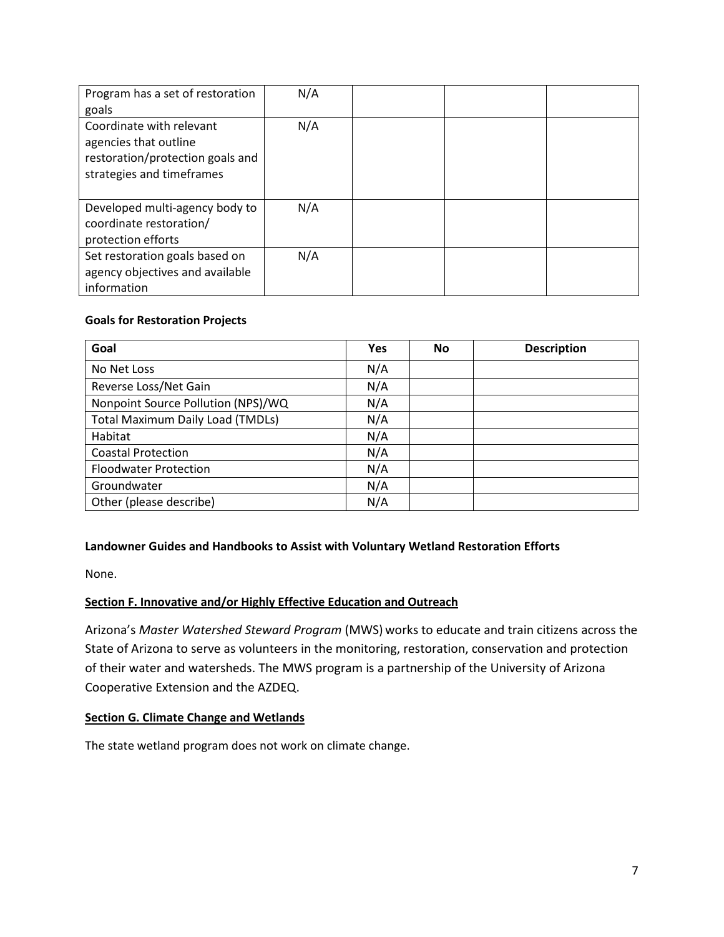| Program has a set of restoration<br>goals                                                                          | N/A |  |  |
|--------------------------------------------------------------------------------------------------------------------|-----|--|--|
| Coordinate with relevant<br>agencies that outline<br>restoration/protection goals and<br>strategies and timeframes | N/A |  |  |
| Developed multi-agency body to<br>coordinate restoration/<br>protection efforts                                    | N/A |  |  |
| Set restoration goals based on<br>agency objectives and available<br>information                                   | N/A |  |  |

# **Goals for Restoration Projects**

| Goal                                    | Yes | No | <b>Description</b> |
|-----------------------------------------|-----|----|--------------------|
| No Net Loss                             | N/A |    |                    |
| Reverse Loss/Net Gain                   | N/A |    |                    |
| Nonpoint Source Pollution (NPS)/WQ      | N/A |    |                    |
| <b>Total Maximum Daily Load (TMDLs)</b> | N/A |    |                    |
| Habitat                                 | N/A |    |                    |
| <b>Coastal Protection</b>               | N/A |    |                    |
| <b>Floodwater Protection</b>            | N/A |    |                    |
| Groundwater                             | N/A |    |                    |
| Other (please describe)                 | N/A |    |                    |

# **Landowner Guides and Handbooks to Assist with Voluntary Wetland Restoration Efforts**

None.

# <span id="page-6-0"></span>**Section F. Innovative and/or Highly Effective Education and Outreach**

Arizona's *Master Watershed Steward Program* (MWS) works to educate and train citizens across the State of Arizona to serve as volunteers in the monitoring, restoration, conservation and protection of their water and watersheds. The MWS program is a partnership of the University of Arizona Cooperative Extension and the AZDEQ.

### **Section G. Climate Change and Wetlands**

The state wetland program does not work on climate change.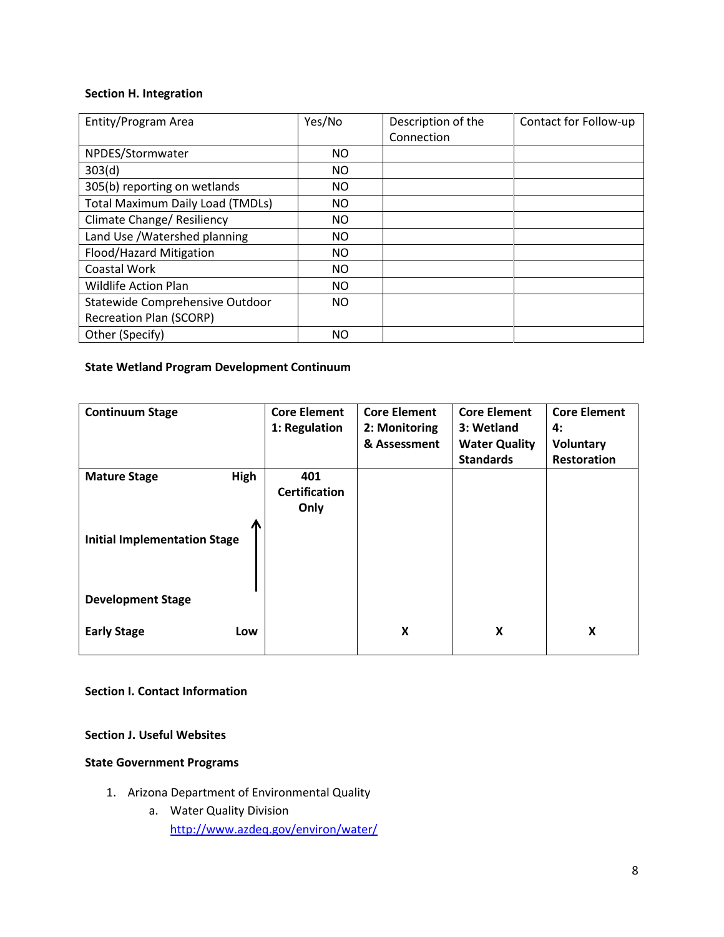#### <span id="page-7-0"></span>**Section H. Integration**

| Entity/Program Area                     | Yes/No    | Description of the | Contact for Follow-up |
|-----------------------------------------|-----------|--------------------|-----------------------|
|                                         |           | Connection         |                       |
| NPDES/Stormwater                        | <b>NO</b> |                    |                       |
| 303(d)                                  | ΝO        |                    |                       |
| 305(b) reporting on wetlands            | ΝO        |                    |                       |
| <b>Total Maximum Daily Load (TMDLs)</b> | ΝO        |                    |                       |
| Climate Change/ Resiliency              | ΝO        |                    |                       |
| Land Use /Watershed planning            | ΝO        |                    |                       |
| Flood/Hazard Mitigation                 | ΝO        |                    |                       |
| Coastal Work                            | ΝO        |                    |                       |
| <b>Wildlife Action Plan</b>             | NO.       |                    |                       |
| Statewide Comprehensive Outdoor         | NO        |                    |                       |
| <b>Recreation Plan (SCORP)</b>          |           |                    |                       |
| Other (Specify)                         | ΝO        |                    |                       |

### **State Wetland Program Development Continuum**

| <b>Continuum Stage</b>              | <b>Core Element</b><br>1: Regulation | <b>Core Element</b><br>2: Monitoring<br>& Assessment | <b>Core Element</b><br>3: Wetland<br><b>Water Quality</b><br><b>Standards</b> | <b>Core Element</b><br>4:<br><b>Voluntary</b><br><b>Restoration</b> |
|-------------------------------------|--------------------------------------|------------------------------------------------------|-------------------------------------------------------------------------------|---------------------------------------------------------------------|
| <b>High</b><br><b>Mature Stage</b>  | 401<br><b>Certification</b><br>Only  |                                                      |                                                                               |                                                                     |
| <b>Initial Implementation Stage</b> |                                      |                                                      |                                                                               |                                                                     |
| <b>Development Stage</b>            |                                      |                                                      |                                                                               |                                                                     |
| <b>Early Stage</b><br>Low           |                                      | X                                                    | X                                                                             | X                                                                   |

# **Section I. Contact Information**

# **Section J. Useful Websites**

### **State Government Programs**

- 1. Arizona Department of Environmental Quality
	- a. Water Quality Division <http://www.azdeq.gov/environ/water/>